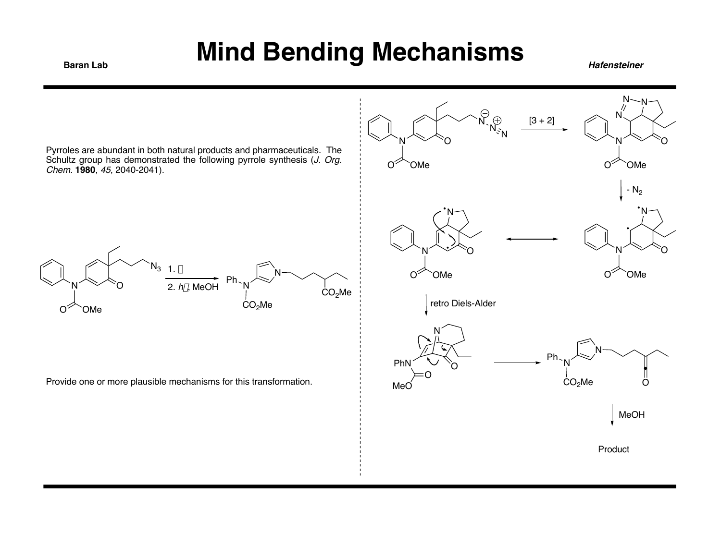**Baran Lab** 

**Hafensteiner** 

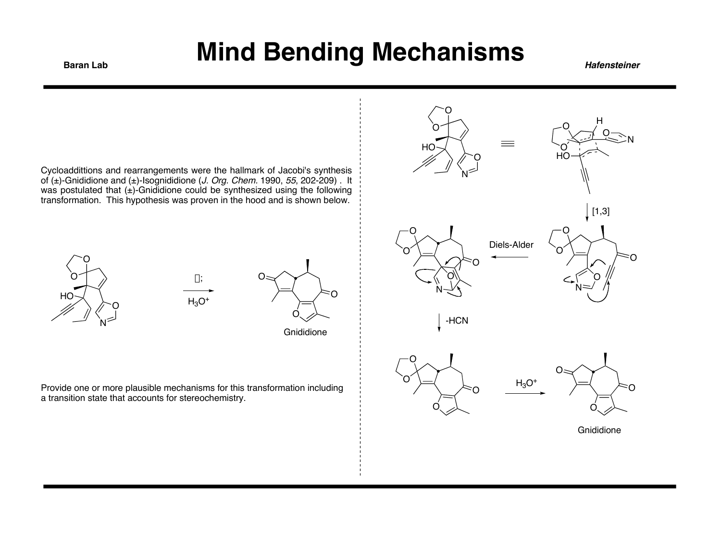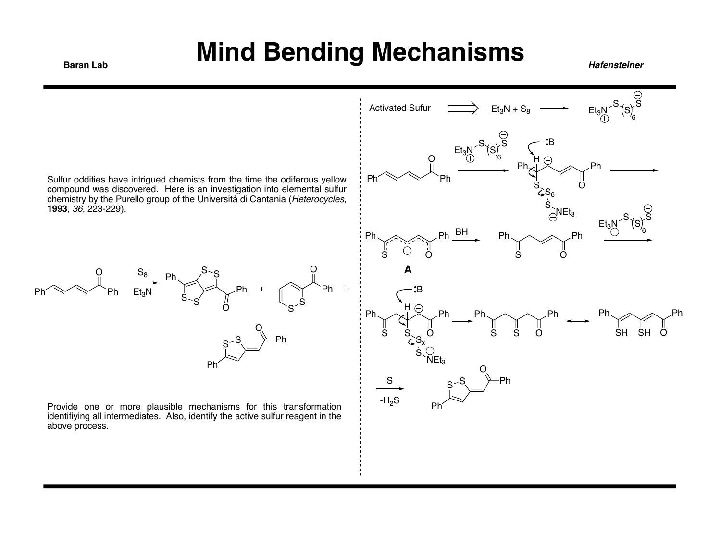Ph

E

6



Provide one or more plausible mechanisms for this transformation identifiying all intermediates. Also, identify the active sulfur reagent in the above process.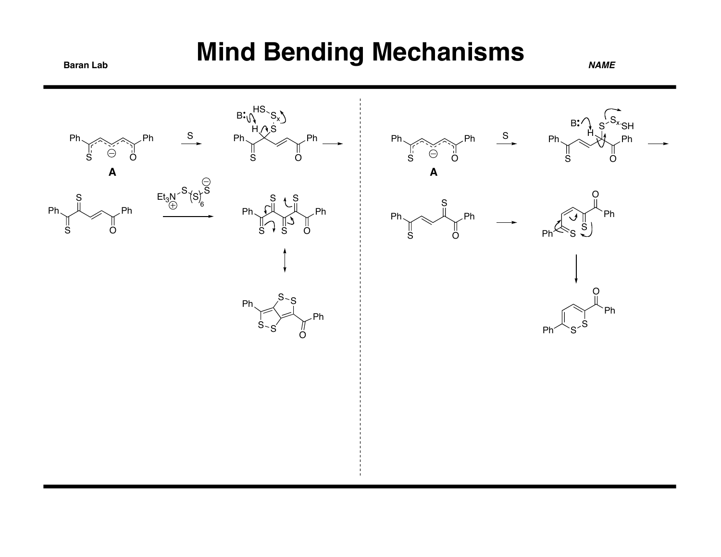#### **Baran Lab Mind Bending Mechanisms**

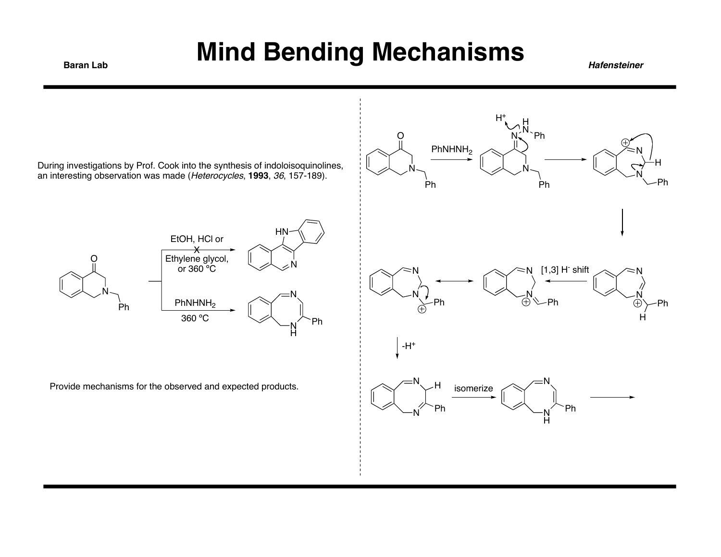

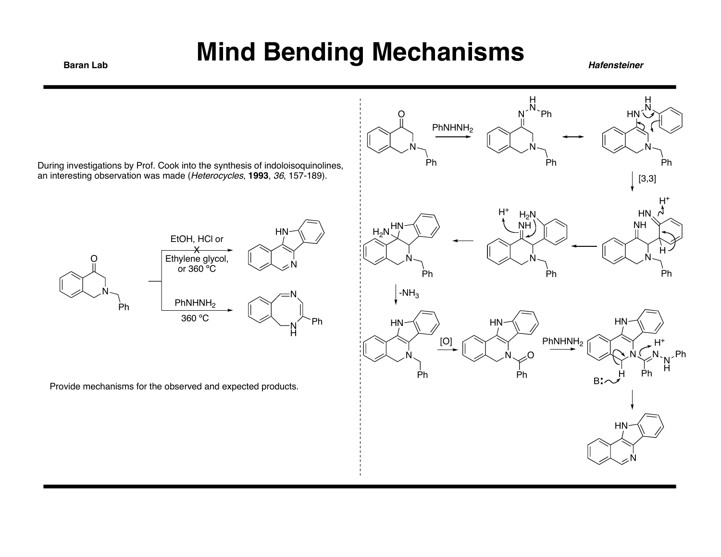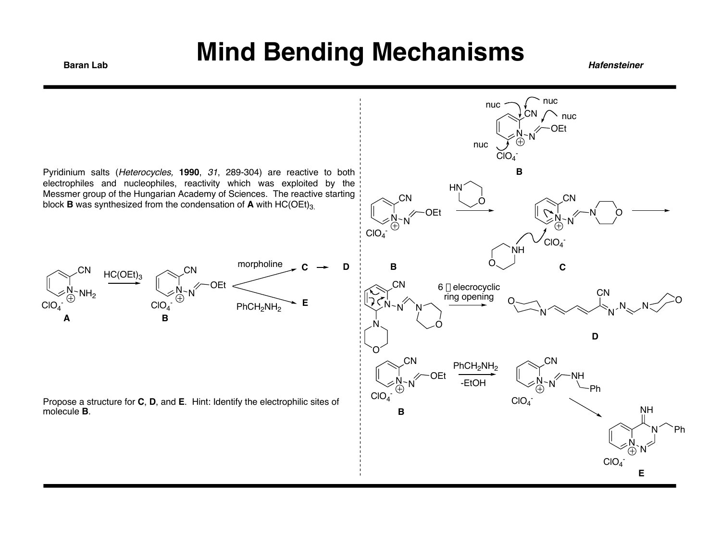